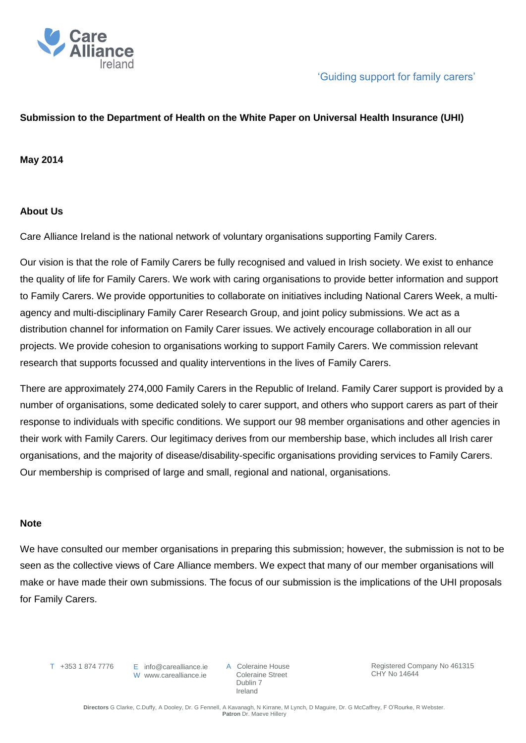

## **Submission to the Department of Health on the White Paper on Universal Health Insurance (UHI)**

## **May 2014**

### **About Us**

Care Alliance Ireland is the national network of voluntary organisations supporting Family Carers.

Our vision is that the role of Family Carers be fully recognised and valued in Irish society. We exist to enhance the quality of life for Family Carers. We work with caring organisations to provide better information and support to Family Carers. We provide opportunities to collaborate on initiatives including National Carers Week, a multiagency and multi-disciplinary Family Carer Research Group, and joint policy submissions. We act as a distribution channel for information on Family Carer issues. We actively encourage collaboration in all our projects. We provide cohesion to organisations working to support Family Carers. We commission relevant research that supports focussed and quality interventions in the lives of Family Carers.

There are approximately 274,000 Family Carers in the Republic of Ireland. Family Carer support is provided by a number of organisations, some dedicated solely to carer support, and others who support carers as part of their response to individuals with specific conditions. We support our 98 member organisations and other agencies in their work with Family Carers. Our legitimacy derives from our membership base, which includes all Irish carer organisations, and the majority of disease/disability-specific organisations providing services to Family Carers. Our membership is comprised of large and small, regional and national, organisations.

#### **Note**

We have consulted our member organisations in preparing this submission; however, the submission is not to be seen as the collective views of Care Alliance members. We expect that many of our member organisations will make or have made their own submissions. The focus of our submission is the implications of the UHI proposals for Family Carers.

T +353 1 874 7776

E info@carealliance.ie W www.carealliance.ie A Coleraine House Coleraine Street Dublin 7 Ireland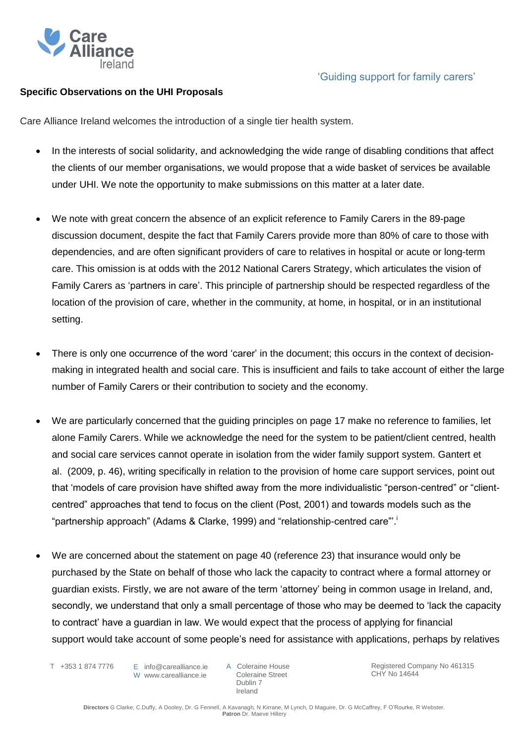

## **Specific Observations on the UHI Proposals**

Care Alliance Ireland welcomes the introduction of a single tier health system.

- In the interests of social solidarity, and acknowledging the wide range of disabling conditions that affect the clients of our member organisations, we would propose that a wide basket of services be available under UHI. We note the opportunity to make submissions on this matter at a later date.
- We note with great concern the absence of an explicit reference to Family Carers in the 89-page discussion document, despite the fact that Family Carers provide more than 80% of care to those with dependencies, and are often significant providers of care to relatives in hospital or acute or long-term care. This omission is at odds with the 2012 National Carers Strategy, which articulates the vision of Family Carers as 'partners in care'. This principle of partnership should be respected regardless of the location of the provision of care, whether in the community, at home, in hospital, or in an institutional setting.
- There is only one occurrence of the word 'carer' in the document; this occurs in the context of decisionmaking in integrated health and social care. This is insufficient and fails to take account of either the large number of Family Carers or their contribution to society and the economy.
- We are particularly concerned that the guiding principles on page 17 make no reference to families, let alone Family Carers. While we acknowledge the need for the system to be patient/client centred, health and social care services cannot operate in isolation from the wider family support system. Gantert et al. (2009, p. 46), writing specifically in relation to the provision of home care support services, point out that 'models of care provision have shifted away from the more individualistic "person-centred" or "clientcentred" approaches that tend to focus on the client (Post, 2001) and towards models such as the "partnership approach" (Adams & Clarke, 1999) and "relationship-centred care"'. i
- We are concerned about the statement on page 40 (reference 23) that insurance would only be purchased by the State on behalf of those who lack the capacity to contract where a formal attorney or guardian exists. Firstly, we are not aware of the term 'attorney' being in common usage in Ireland, and, secondly, we understand that only a small percentage of those who may be deemed to 'lack the capacity to contract' have a guardian in law. We would expect that the process of applying for financial support would take account of some people's need for assistance with applications, perhaps by relatives
	- T +353 1 874 7776

E info@carealliance.ie W www.carealliance.ie

A Coleraine House Coleraine Street Dublin 7 Ireland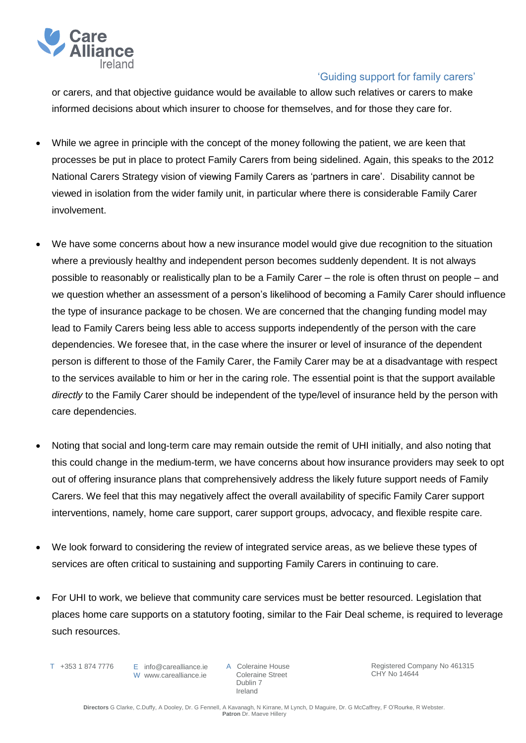

or carers, and that objective guidance would be available to allow such relatives or carers to make informed decisions about which insurer to choose for themselves, and for those they care for.

- While we agree in principle with the concept of the money following the patient, we are keen that processes be put in place to protect Family Carers from being sidelined. Again, this speaks to the 2012 National Carers Strategy vision of viewing Family Carers as 'partners in care'. Disability cannot be viewed in isolation from the wider family unit, in particular where there is considerable Family Carer involvement.
- We have some concerns about how a new insurance model would give due recognition to the situation where a previously healthy and independent person becomes suddenly dependent. It is not always possible to reasonably or realistically plan to be a Family Carer – the role is often thrust on people – and we question whether an assessment of a person's likelihood of becoming a Family Carer should influence the type of insurance package to be chosen. We are concerned that the changing funding model may lead to Family Carers being less able to access supports independently of the person with the care dependencies. We foresee that, in the case where the insurer or level of insurance of the dependent person is different to those of the Family Carer, the Family Carer may be at a disadvantage with respect to the services available to him or her in the caring role. The essential point is that the support available *directly* to the Family Carer should be independent of the type/level of insurance held by the person with care dependencies.
- Noting that social and long-term care may remain outside the remit of UHI initially, and also noting that this could change in the medium-term, we have concerns about how insurance providers may seek to opt out of offering insurance plans that comprehensively address the likely future support needs of Family Carers. We feel that this may negatively affect the overall availability of specific Family Carer support interventions, namely, home care support, carer support groups, advocacy, and flexible respite care.
- We look forward to considering the review of integrated service areas, as we believe these types of services are often critical to sustaining and supporting Family Carers in continuing to care.
- For UHI to work, we believe that community care services must be better resourced. Legislation that places home care supports on a statutory footing, similar to the Fair Deal scheme, is required to leverage such resources.
	- T +353 1 874 7776

E info@carealliance.ie W www.carealliance.ie A Coleraine House Coleraine Street Dublin 7 Ireland